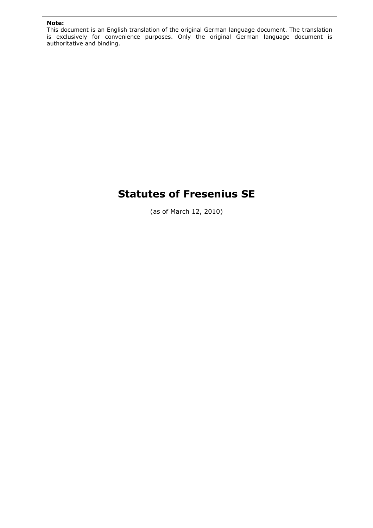# Note: and the second second second second second second second second second second second second second second second second second second second second second second second second second second second second second secon

This document is an English translation of the original German language document. The translation is exclusively for convenience purposes. Only the original German language document is authoritative and binding.

# Statutes of Fresenius SE

(as of March 12, 2010)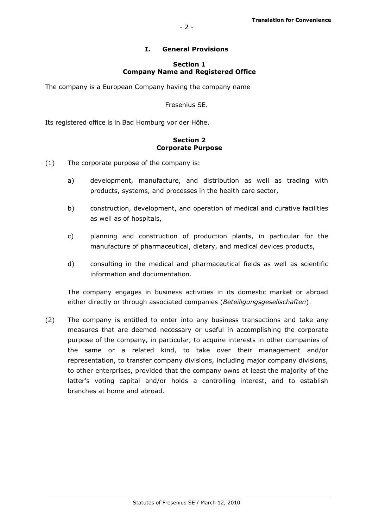## I. General Provisions

#### Section 1 Company Name and Registered Office

The company is a European Company having the company name

Fresenius SE.

Its registered office is in Bad Homburg vor der Höhe.

#### Section 2 Corporate Purpose

- (1) The corporate purpose of the company is:
	- a) development, manufacture, and distribution as well as trading with products, systems, and processes in the health care sector,
	- b) construction, development, and operation of medical and curative facilities as well as of hospitals,
	- c) planning and construction of production plants, in particular for the manufacture of pharmaceutical, dietary, and medical devices products,
	- d) consulting in the medical and pharmaceutical fields as well as scientific information and documentation.

The company engages in business activities in its domestic market or abroad either directly or through associated companies (Beteiligungsgesellschaften).

(2) The company is entitled to enter into any business transactions and take any measures that are deemed necessary or useful in accomplishing the corporate purpose of the company, in particular, to acquire interests in other companies of the same or a related kind, to take over their management and/or representation, to transfer company divisions, including major company divisions, to other enterprises, provided that the company owns at least the majority of the latter's voting capital and/or holds a controlling interest, and to establish branches at home and abroad.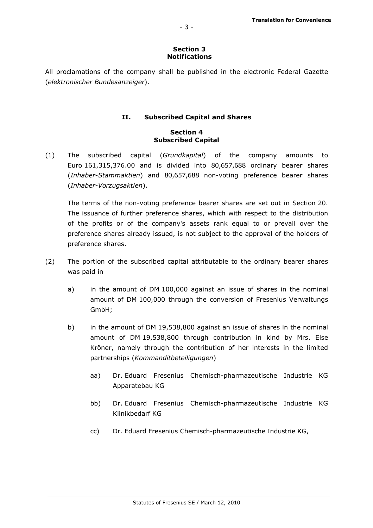#### Section 3 Notifications

All proclamations of the company shall be published in the electronic Federal Gazette (elektronischer Bundesanzeiger).

# II. Subscribed Capital and Shares

# Section 4 Subscribed Capital

(1) The subscribed capital (Grundkapital) of the company amounts to Euro 161,315,376.00 and is divided into 80,657,688 ordinary bearer shares (Inhaber-Stammaktien) and 80,657,688 non-voting preference bearer shares (Inhaber-Vorzugsaktien).

The terms of the non-voting preference bearer shares are set out in Section 20. The issuance of further preference shares, which with respect to the distribution of the profits or of the company's assets rank equal to or prevail over the preference shares already issued, is not subject to the approval of the holders of preference shares.

- (2) The portion of the subscribed capital attributable to the ordinary bearer shares was paid in
	- a) in the amount of DM 100,000 against an issue of shares in the nominal amount of DM 100,000 through the conversion of Fresenius Verwaltungs GmbH;
	- b) in the amount of DM 19,538,800 against an issue of shares in the nominal amount of DM 19,538,800 through contribution in kind by Mrs. Else Kröner, namely through the contribution of her interests in the limited partnerships (Kommanditbeteiligungen)
		- aa) Dr. Eduard Fresenius Chemisch-pharmazeutische Industrie KG Apparatebau KG
		- bb) Dr. Eduard Fresenius Chemisch-pharmazeutische Industrie KG Klinikbedarf KG
		- cc) Dr. Eduard Fresenius Chemisch-pharmazeutische Industrie KG,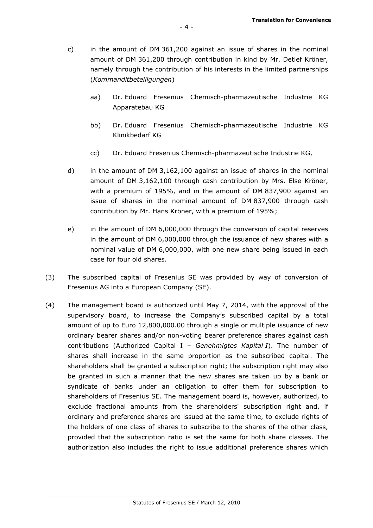- c) in the amount of DM 361,200 against an issue of shares in the nominal amount of DM 361,200 through contribution in kind by Mr. Detlef Kröner, namely through the contribution of his interests in the limited partnerships (Kommanditbeteiligungen)
	- aa) Dr. Eduard Fresenius Chemisch-pharmazeutische Industrie KG Apparatebau KG
	- bb) Dr. Eduard Fresenius Chemisch-pharmazeutische Industrie KG Klinikbedarf KG
	- cc) Dr. Eduard Fresenius Chemisch-pharmazeutische Industrie KG,
- d) in the amount of DM 3,162,100 against an issue of shares in the nominal amount of DM 3,162,100 through cash contribution by Mrs. Else Kröner, with a premium of 195%, and in the amount of DM 837,900 against an issue of shares in the nominal amount of DM 837,900 through cash contribution by Mr. Hans Kröner, with a premium of 195%;
- e) in the amount of DM 6,000,000 through the conversion of capital reserves in the amount of DM 6,000,000 through the issuance of new shares with a nominal value of DM 6,000,000, with one new share being issued in each case for four old shares.
- (3) The subscribed capital of Fresenius SE was provided by way of conversion of Fresenius AG into a European Company (SE).
- (4) The management board is authorized until May 7, 2014, with the approval of the supervisory board, to increase the Company's subscribed capital by a total amount of up to Euro 12,800,000.00 through a single or multiple issuance of new ordinary bearer shares and/or non-voting bearer preference shares against cash contributions (Authorized Capital I - Genehmigtes Kapital I). The number of shares shall increase in the same proportion as the subscribed capital. The shareholders shall be granted a subscription right; the subscription right may also be granted in such a manner that the new shares are taken up by a bank or syndicate of banks under an obligation to offer them for subscription to shareholders of Fresenius SE. The management board is, however, authorized, to exclude fractional amounts from the shareholders' subscription right and, if ordinary and preference shares are issued at the same time, to exclude rights of the holders of one class of shares to subscribe to the shares of the other class, provided that the subscription ratio is set the same for both share classes. The authorization also includes the right to issue additional preference shares which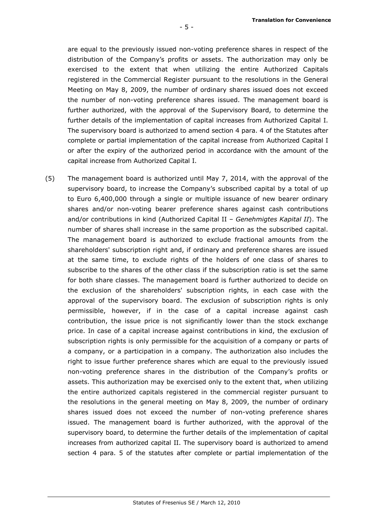are equal to the previously issued non-voting preference shares in respect of the distribution of the Company's profits or assets. The authorization may only be exercised to the extent that when utilizing the entire Authorized Capitals registered in the Commercial Register pursuant to the resolutions in the General Meeting on May 8, 2009, the number of ordinary shares issued does not exceed the number of non-voting preference shares issued. The management board is further authorized, with the approval of the Supervisory Board, to determine the further details of the implementation of capital increases from Authorized Capital I. The supervisory board is authorized to amend section 4 para. 4 of the Statutes after complete or partial implementation of the capital increase from Authorized Capital I or after the expiry of the authorized period in accordance with the amount of the capital increase from Authorized Capital I.

(5) The management board is authorized until May 7, 2014, with the approval of the supervisory board, to increase the Company's subscribed capital by a total of up to Euro 6,400,000 through a single or multiple issuance of new bearer ordinary shares and/or non-voting bearer preference shares against cash contributions and/or contributions in kind (Authorized Capital II – Genehmigtes Kapital II). The number of shares shall increase in the same proportion as the subscribed capital. The management board is authorized to exclude fractional amounts from the shareholders' subscription right and, if ordinary and preference shares are issued at the same time, to exclude rights of the holders of one class of shares to subscribe to the shares of the other class if the subscription ratio is set the same for both share classes. The management board is further authorized to decide on the exclusion of the shareholders' subscription rights, in each case with the approval of the supervisory board. The exclusion of subscription rights is only permissible, however, if in the case of a capital increase against cash contribution, the issue price is not significantly lower than the stock exchange price. In case of a capital increase against contributions in kind, the exclusion of subscription rights is only permissible for the acquisition of a company or parts of a company, or a participation in a company. The authorization also includes the right to issue further preference shares which are equal to the previously issued non-voting preference shares in the distribution of the Company's profits or assets. This authorization may be exercised only to the extent that, when utilizing the entire authorized capitals registered in the commercial register pursuant to the resolutions in the general meeting on May 8, 2009, the number of ordinary shares issued does not exceed the number of non-voting preference shares issued. The management board is further authorized, with the approval of the supervisory board, to determine the further details of the implementation of capital increases from authorized capital II. The supervisory board is authorized to amend section 4 para. 5 of the statutes after complete or partial implementation of the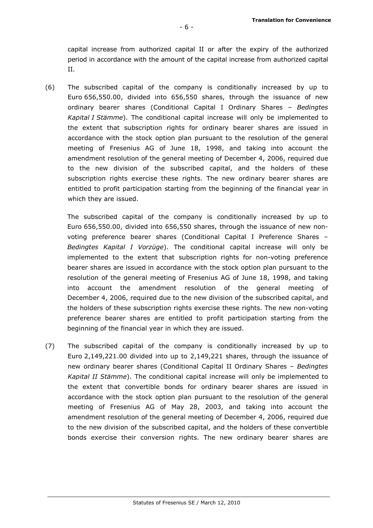capital increase from authorized capital II or after the expiry of the authorized period in accordance with the amount of the capital increase from authorized capital II.

(6) The subscribed capital of the company is conditionally increased by up to Euro 656,550.00, divided into 656,550 shares, through the issuance of new ordinary bearer shares (Conditional Capital I Ordinary Shares – Bedingtes Kapital I Stämme). The conditional capital increase will only be implemented to the extent that subscription rights for ordinary bearer shares are issued in accordance with the stock option plan pursuant to the resolution of the general meeting of Fresenius AG of June 18, 1998, and taking into account the amendment resolution of the general meeting of December 4, 2006, required due to the new division of the subscribed capital, and the holders of these subscription rights exercise these rights. The new ordinary bearer shares are entitled to profit participation starting from the beginning of the financial year in which they are issued.

 The subscribed capital of the company is conditionally increased by up to Euro 656,550.00, divided into 656,550 shares, through the issuance of new nonvoting preference bearer shares (Conditional Capital I Preference Shares – Bedingtes Kapital I Vorzüge). The conditional capital increase will only be implemented to the extent that subscription rights for non-voting preference bearer shares are issued in accordance with the stock option plan pursuant to the resolution of the general meeting of Fresenius AG of June 18, 1998, and taking into account the amendment resolution of the general meeting of December 4, 2006, required due to the new division of the subscribed capital, and the holders of these subscription rights exercise these rights. The new non-voting preference bearer shares are entitled to profit participation starting from the beginning of the financial year in which they are issued.

(7) The subscribed capital of the company is conditionally increased by up to Euro 2,149,221.00 divided into up to 2,149,221 shares, through the issuance of new ordinary bearer shares (Conditional Capital II Ordinary Shares – Bedingtes Kapital II Stämme). The conditional capital increase will only be implemented to the extent that convertible bonds for ordinary bearer shares are issued in accordance with the stock option plan pursuant to the resolution of the general meeting of Fresenius AG of May 28, 2003, and taking into account the amendment resolution of the general meeting of December 4, 2006, required due to the new division of the subscribed capital, and the holders of these convertible bonds exercise their conversion rights. The new ordinary bearer shares are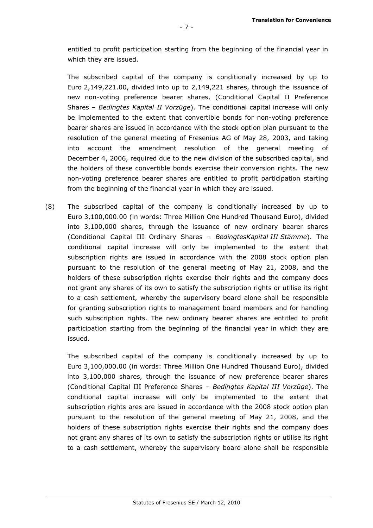entitled to profit participation starting from the beginning of the financial year in which they are issued.

 The subscribed capital of the company is conditionally increased by up to Euro 2,149,221.00, divided into up to 2,149,221 shares, through the issuance of new non-voting preference bearer shares, (Conditional Capital II Preference Shares – Bedingtes Kapital II Vorzüge). The conditional capital increase will only be implemented to the extent that convertible bonds for non-voting preference bearer shares are issued in accordance with the stock option plan pursuant to the resolution of the general meeting of Fresenius AG of May 28, 2003, and taking into account the amendment resolution of the general meeting of December 4, 2006, required due to the new division of the subscribed capital, and the holders of these convertible bonds exercise their conversion rights. The new non-voting preference bearer shares are entitled to profit participation starting from the beginning of the financial year in which they are issued.

(8) The subscribed capital of the company is conditionally increased by up to Euro 3,100,000.00 (in words: Three Million One Hundred Thousand Euro), divided into 3,100,000 shares, through the issuance of new ordinary bearer shares (Conditional Capital III Ordinary Shares – BedingtesKapital III Stämme). The conditional capital increase will only be implemented to the extent that subscription rights are issued in accordance with the 2008 stock option plan pursuant to the resolution of the general meeting of May 21, 2008, and the holders of these subscription rights exercise their rights and the company does not grant any shares of its own to satisfy the subscription rights or utilise its right to a cash settlement, whereby the supervisory board alone shall be responsible for granting subscription rights to management board members and for handling such subscription rights. The new ordinary bearer shares are entitled to profit participation starting from the beginning of the financial year in which they are issued.

 The subscribed capital of the company is conditionally increased by up to Euro 3,100,000.00 (in words: Three Million One Hundred Thousand Euro), divided into 3,100,000 shares, through the issuance of new preference bearer shares (Conditional Capital III Preference Shares – Bedingtes Kapital III Vorzüge). The conditional capital increase will only be implemented to the extent that subscription rights ares are issued in accordance with the 2008 stock option plan pursuant to the resolution of the general meeting of May 21, 2008, and the holders of these subscription rights exercise their rights and the company does not grant any shares of its own to satisfy the subscription rights or utilise its right to a cash settlement, whereby the supervisory board alone shall be responsible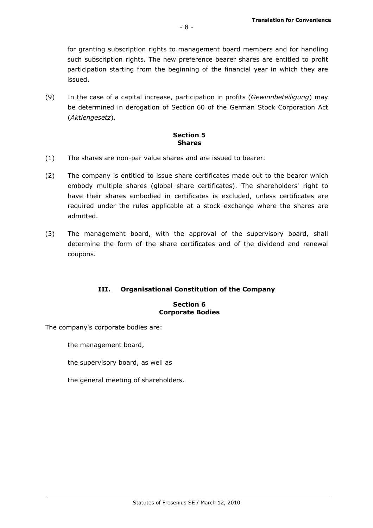for granting subscription rights to management board members and for handling such subscription rights. The new preference bearer shares are entitled to profit participation starting from the beginning of the financial year in which they are issued.

(9) In the case of a capital increase, participation in profits (Gewinnbeteiligung) may be determined in derogation of Section 60 of the German Stock Corporation Act (Aktiengesetz).

#### Section 5 **Shares**

- (1) The shares are non-par value shares and are issued to bearer.
- (2) The company is entitled to issue share certificates made out to the bearer which embody multiple shares (global share certificates). The shareholders' right to have their shares embodied in certificates is excluded, unless certificates are required under the rules applicable at a stock exchange where the shares are admitted.
- (3) The management board, with the approval of the supervisory board, shall determine the form of the share certificates and of the dividend and renewal coupons.

# III. Organisational Constitution of the Company

#### Section 6 Corporate Bodies

The company's corporate bodies are:

the management board,

the supervisory board, as well as

the general meeting of shareholders.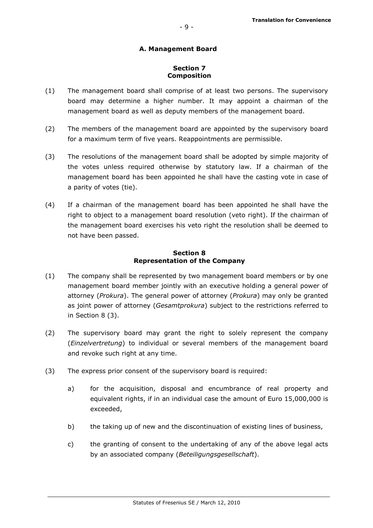# A. Management Board

- 9 -

#### Section 7 Composition

- (1) The management board shall comprise of at least two persons. The supervisory board may determine a higher number. It may appoint a chairman of the management board as well as deputy members of the management board.
- (2) The members of the management board are appointed by the supervisory board for a maximum term of five years. Reappointments are permissible.
- (3) The resolutions of the management board shall be adopted by simple majority of the votes unless required otherwise by statutory law. If a chairman of the management board has been appointed he shall have the casting vote in case of a parity of votes (tie).
- (4) If a chairman of the management board has been appointed he shall have the right to object to a management board resolution (veto right). If the chairman of the management board exercises his veto right the resolution shall be deemed to not have been passed.

#### Section 8 Representation of the Company

- (1) The company shall be represented by two management board members or by one management board member jointly with an executive holding a general power of attorney (Prokura). The general power of attorney (Prokura) may only be granted as joint power of attorney (*Gesamtprokura*) subject to the restrictions referred to in Section 8 (3).
- (2) The supervisory board may grant the right to solely represent the company (Einzelvertretung) to individual or several members of the management board and revoke such right at any time.
- (3) The express prior consent of the supervisory board is required:
	- a) for the acquisition, disposal and encumbrance of real property and equivalent rights, if in an individual case the amount of Euro 15,000,000 is exceeded,
	- b) the taking up of new and the discontinuation of existing lines of business,
	- c) the granting of consent to the undertaking of any of the above legal acts by an associated company (Beteiligungsgesellschaft).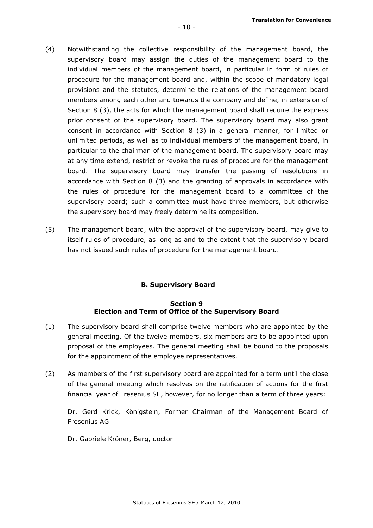- (4) Notwithstanding the collective responsibility of the management board, the supervisory board may assign the duties of the management board to the individual members of the management board, in particular in form of rules of procedure for the management board and, within the scope of mandatory legal provisions and the statutes, determine the relations of the management board members among each other and towards the company and define, in extension of Section 8 (3), the acts for which the management board shall require the express prior consent of the supervisory board. The supervisory board may also grant consent in accordance with Section 8 (3) in a general manner, for limited or unlimited periods, as well as to individual members of the management board, in particular to the chairman of the management board. The supervisory board may at any time extend, restrict or revoke the rules of procedure for the management board. The supervisory board may transfer the passing of resolutions in accordance with Section 8 (3) and the granting of approvals in accordance with the rules of procedure for the management board to a committee of the supervisory board; such a committee must have three members, but otherwise the supervisory board may freely determine its composition.
- (5) The management board, with the approval of the supervisory board, may give to itself rules of procedure, as long as and to the extent that the supervisory board has not issued such rules of procedure for the management board.

# B. Supervisory Board

## Section 9 Election and Term of Office of the Supervisory Board

- (1) The supervisory board shall comprise twelve members who are appointed by the general meeting. Of the twelve members, six members are to be appointed upon proposal of the employees. The general meeting shall be bound to the proposals for the appointment of the employee representatives.
- (2) As members of the first supervisory board are appointed for a term until the close of the general meeting which resolves on the ratification of actions for the first financial year of Fresenius SE, however, for no longer than a term of three years:

Dr. Gerd Krick, Königstein, Former Chairman of the Management Board of Fresenius AG

Dr. Gabriele Kröner, Berg, doctor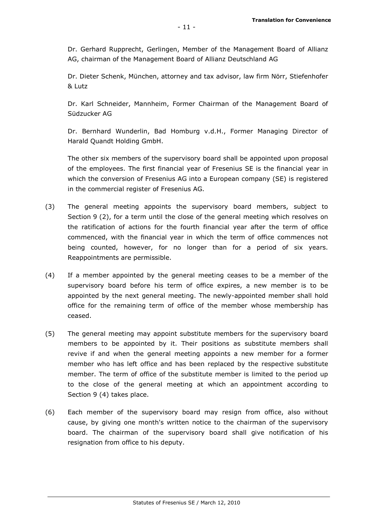Dr. Gerhard Rupprecht, Gerlingen, Member of the Management Board of Allianz AG, chairman of the Management Board of Allianz Deutschland AG

Dr. Dieter Schenk, München, attorney and tax advisor, law firm Nörr, Stiefenhofer & Lutz

Dr. Karl Schneider, Mannheim, Former Chairman of the Management Board of Südzucker AG

Dr. Bernhard Wunderlin, Bad Homburg v.d.H., Former Managing Director of Harald Quandt Holding GmbH.

The other six members of the supervisory board shall be appointed upon proposal of the employees. The first financial year of Fresenius SE is the financial year in which the conversion of Fresenius AG into a European company (SE) is registered in the commercial register of Fresenius AG.

- (3) The general meeting appoints the supervisory board members, subject to Section 9 (2), for a term until the close of the general meeting which resolves on the ratification of actions for the fourth financial year after the term of office commenced, with the financial year in which the term of office commences not being counted, however, for no longer than for a period of six years. Reappointments are permissible.
- (4) If a member appointed by the general meeting ceases to be a member of the supervisory board before his term of office expires, a new member is to be appointed by the next general meeting. The newly-appointed member shall hold office for the remaining term of office of the member whose membership has ceased.
- (5) The general meeting may appoint substitute members for the supervisory board members to be appointed by it. Their positions as substitute members shall revive if and when the general meeting appoints a new member for a former member who has left office and has been replaced by the respective substitute member. The term of office of the substitute member is limited to the period up to the close of the general meeting at which an appointment according to Section 9 (4) takes place.
- (6) Each member of the supervisory board may resign from office, also without cause, by giving one month's written notice to the chairman of the supervisory board. The chairman of the supervisory board shall give notification of his resignation from office to his deputy.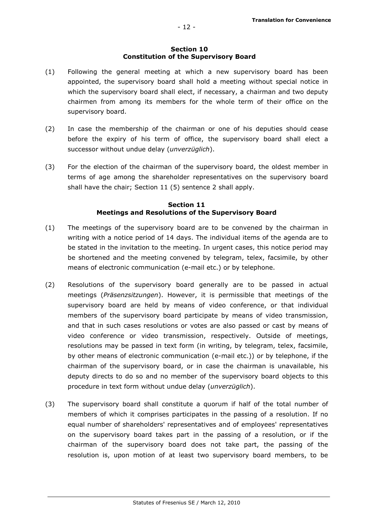#### Section 10 Constitution of the Supervisory Board

- (1) Following the general meeting at which a new supervisory board has been appointed, the supervisory board shall hold a meeting without special notice in which the supervisory board shall elect, if necessary, a chairman and two deputy chairmen from among its members for the whole term of their office on the supervisory board.
- (2) In case the membership of the chairman or one of his deputies should cease before the expiry of his term of office, the supervisory board shall elect a successor without undue delay (unverzüglich).
- (3) For the election of the chairman of the supervisory board, the oldest member in terms of age among the shareholder representatives on the supervisory board shall have the chair; Section 11 (5) sentence 2 shall apply.

# Section 11 Meetings and Resolutions of the Supervisory Board

- (1) The meetings of the supervisory board are to be convened by the chairman in writing with a notice period of 14 days. The individual items of the agenda are to be stated in the invitation to the meeting. In urgent cases, this notice period may be shortened and the meeting convened by telegram, telex, facsimile, by other means of electronic communication (e-mail etc.) or by telephone.
- (2) Resolutions of the supervisory board generally are to be passed in actual meetings (Präsenzsitzungen). However, it is permissible that meetings of the supervisory board are held by means of video conference, or that individual members of the supervisory board participate by means of video transmission, and that in such cases resolutions or votes are also passed or cast by means of video conference or video transmission, respectively. Outside of meetings, resolutions may be passed in text form (in writing, by telegram, telex, facsimile, by other means of electronic communication (e-mail etc.)) or by telephone, if the chairman of the supervisory board, or in case the chairman is unavailable, his deputy directs to do so and no member of the supervisory board objects to this procedure in text form without undue delay (unverzüglich).
- (3) The supervisory board shall constitute a quorum if half of the total number of members of which it comprises participates in the passing of a resolution. If no equal number of shareholders' representatives and of employees' representatives on the supervisory board takes part in the passing of a resolution, or if the chairman of the supervisory board does not take part, the passing of the resolution is, upon motion of at least two supervisory board members, to be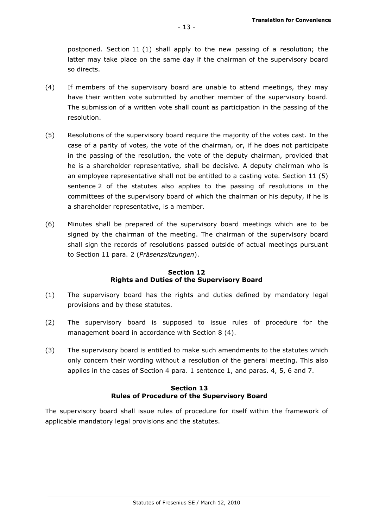postponed. Section 11 (1) shall apply to the new passing of a resolution; the latter may take place on the same day if the chairman of the supervisory board so directs.

- (4) If members of the supervisory board are unable to attend meetings, they may have their written vote submitted by another member of the supervisory board. The submission of a written vote shall count as participation in the passing of the resolution.
- (5) Resolutions of the supervisory board require the majority of the votes cast. In the case of a parity of votes, the vote of the chairman, or, if he does not participate in the passing of the resolution, the vote of the deputy chairman, provided that he is a shareholder representative, shall be decisive. A deputy chairman who is an employee representative shall not be entitled to a casting vote. Section 11 (5) sentence 2 of the statutes also applies to the passing of resolutions in the committees of the supervisory board of which the chairman or his deputy, if he is a shareholder representative, is a member.
- (6) Minutes shall be prepared of the supervisory board meetings which are to be signed by the chairman of the meeting. The chairman of the supervisory board shall sign the records of resolutions passed outside of actual meetings pursuant to Section 11 para. 2 (Präsenzsitzungen).

#### Section 12 Rights and Duties of the Supervisory Board

- (1) The supervisory board has the rights and duties defined by mandatory legal provisions and by these statutes.
- (2) The supervisory board is supposed to issue rules of procedure for the management board in accordance with Section 8 (4).
- (3) The supervisory board is entitled to make such amendments to the statutes which only concern their wording without a resolution of the general meeting. This also applies in the cases of Section 4 para. 1 sentence 1, and paras. 4, 5, 6 and 7.

## Section 13 Rules of Procedure of the Supervisory Board

The supervisory board shall issue rules of procedure for itself within the framework of applicable mandatory legal provisions and the statutes.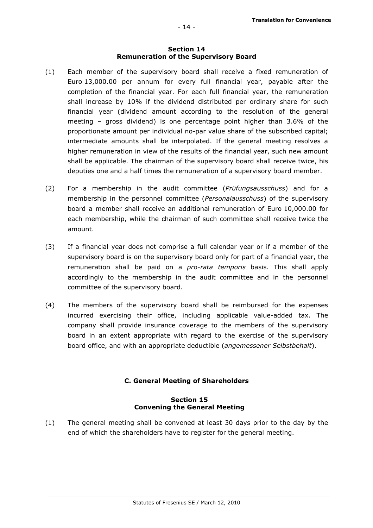#### Section 14 Remuneration of the Supervisory Board

- (1) Each member of the supervisory board shall receive a fixed remuneration of Euro 13,000.00 per annum for every full financial year, payable after the completion of the financial year. For each full financial year, the remuneration shall increase by 10% if the dividend distributed per ordinary share for such financial year (dividend amount according to the resolution of the general meeting – gross dividend) is one percentage point higher than 3.6% of the proportionate amount per individual no-par value share of the subscribed capital; intermediate amounts shall be interpolated. If the general meeting resolves a higher remuneration in view of the results of the financial year, such new amount shall be applicable. The chairman of the supervisory board shall receive twice, his deputies one and a half times the remuneration of a supervisory board member.
- (2) For a membership in the audit committee (Prüfungsausschuss) and for a membership in the personnel committee (*Personalausschuss*) of the supervisory board a member shall receive an additional remuneration of Euro 10,000.00 for each membership, while the chairman of such committee shall receive twice the amount.
- (3) If a financial year does not comprise a full calendar year or if a member of the supervisory board is on the supervisory board only for part of a financial year, the remuneration shall be paid on a *pro-rata temporis* basis. This shall apply accordingly to the membership in the audit committee and in the personnel committee of the supervisory board.
- (4) The members of the supervisory board shall be reimbursed for the expenses incurred exercising their office, including applicable value-added tax. The company shall provide insurance coverage to the members of the supervisory board in an extent appropriate with regard to the exercise of the supervisory board office, and with an appropriate deductible (angemessener Selbstbehalt).

# C. General Meeting of Shareholders

## Section 15 Convening the General Meeting

(1) The general meeting shall be convened at least 30 days prior to the day by the end of which the shareholders have to register for the general meeting.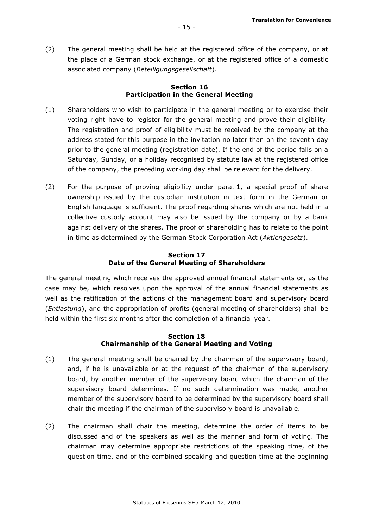(2) The general meeting shall be held at the registered office of the company, or at the place of a German stock exchange, or at the registered office of a domestic associated company (Beteiligungsgesellschaft).

# Section 16 Participation in the General Meeting

- (1) Shareholders who wish to participate in the general meeting or to exercise their voting right have to register for the general meeting and prove their eligibility. The registration and proof of eligibility must be received by the company at the address stated for this purpose in the invitation no later than on the seventh day prior to the general meeting (registration date). If the end of the period falls on a Saturday, Sunday, or a holiday recognised by statute law at the registered office of the company, the preceding working day shall be relevant for the delivery.
- (2) For the purpose of proving eligibility under para. 1, a special proof of share ownership issued by the custodian institution in text form in the German or English language is sufficient. The proof regarding shares which are not held in a collective custody account may also be issued by the company or by a bank against delivery of the shares. The proof of shareholding has to relate to the point in time as determined by the German Stock Corporation Act (Aktiengesetz).

# Section 17 Date of the General Meeting of Shareholders

The general meeting which receives the approved annual financial statements or, as the case may be, which resolves upon the approval of the annual financial statements as well as the ratification of the actions of the management board and supervisory board (Entlastung), and the appropriation of profits (general meeting of shareholders) shall be held within the first six months after the completion of a financial year.

## Section 18 Chairmanship of the General Meeting and Voting

- (1) The general meeting shall be chaired by the chairman of the supervisory board, and, if he is unavailable or at the request of the chairman of the supervisory board, by another member of the supervisory board which the chairman of the supervisory board determines. If no such determination was made, another member of the supervisory board to be determined by the supervisory board shall chair the meeting if the chairman of the supervisory board is unavailable.
- (2) The chairman shall chair the meeting, determine the order of items to be discussed and of the speakers as well as the manner and form of voting. The chairman may determine appropriate restrictions of the speaking time, of the question time, and of the combined speaking and question time at the beginning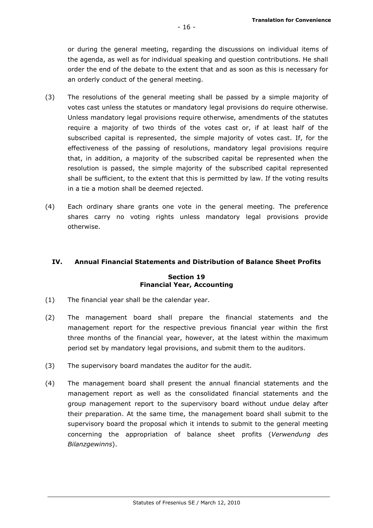or during the general meeting, regarding the discussions on individual items of the agenda, as well as for individual speaking and question contributions. He shall order the end of the debate to the extent that and as soon as this is necessary for an orderly conduct of the general meeting.

- (3) The resolutions of the general meeting shall be passed by a simple majority of votes cast unless the statutes or mandatory legal provisions do require otherwise. Unless mandatory legal provisions require otherwise, amendments of the statutes require a majority of two thirds of the votes cast or, if at least half of the subscribed capital is represented, the simple majority of votes cast. If, for the effectiveness of the passing of resolutions, mandatory legal provisions require that, in addition, a majority of the subscribed capital be represented when the resolution is passed, the simple majority of the subscribed capital represented shall be sufficient, to the extent that this is permitted by law. If the voting results in a tie a motion shall be deemed rejected.
- (4) Each ordinary share grants one vote in the general meeting. The preference shares carry no voting rights unless mandatory legal provisions provide otherwise.

# IV. Annual Financial Statements and Distribution of Balance Sheet Profits

## Section 19 Financial Year, Accounting

- (1) The financial year shall be the calendar year.
- (2) The management board shall prepare the financial statements and the management report for the respective previous financial year within the first three months of the financial year, however, at the latest within the maximum period set by mandatory legal provisions, and submit them to the auditors.
- (3) The supervisory board mandates the auditor for the audit.
- (4) The management board shall present the annual financial statements and the management report as well as the consolidated financial statements and the group management report to the supervisory board without undue delay after their preparation. At the same time, the management board shall submit to the supervisory board the proposal which it intends to submit to the general meeting concerning the appropriation of balance sheet profits (Verwendung des Bilanzgewinns).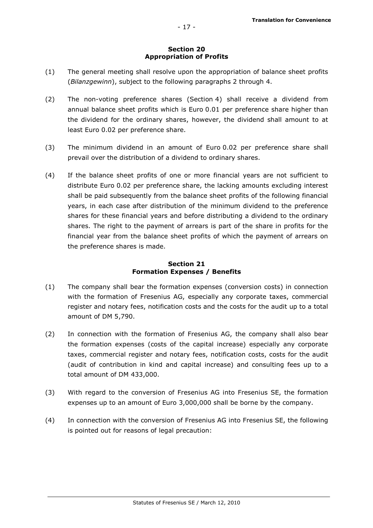# Section 20 Appropriation of Profits

- (1) The general meeting shall resolve upon the appropriation of balance sheet profits (Bilanzgewinn), subject to the following paragraphs 2 through 4.
- (2) The non-voting preference shares (Section 4) shall receive a dividend from annual balance sheet profits which is Euro 0.01 per preference share higher than the dividend for the ordinary shares, however, the dividend shall amount to at least Euro 0.02 per preference share.
- (3) The minimum dividend in an amount of Euro 0.02 per preference share shall prevail over the distribution of a dividend to ordinary shares.
- (4) If the balance sheet profits of one or more financial years are not sufficient to distribute Euro 0.02 per preference share, the lacking amounts excluding interest shall be paid subsequently from the balance sheet profits of the following financial years, in each case after distribution of the minimum dividend to the preference shares for these financial years and before distributing a dividend to the ordinary shares. The right to the payment of arrears is part of the share in profits for the financial year from the balance sheet profits of which the payment of arrears on the preference shares is made.

# Section 21 Formation Expenses / Benefits

- (1) The company shall bear the formation expenses (conversion costs) in connection with the formation of Fresenius AG, especially any corporate taxes, commercial register and notary fees, notification costs and the costs for the audit up to a total amount of DM 5,790.
- (2) In connection with the formation of Fresenius AG, the company shall also bear the formation expenses (costs of the capital increase) especially any corporate taxes, commercial register and notary fees, notification costs, costs for the audit (audit of contribution in kind and capital increase) and consulting fees up to a total amount of DM 433,000.
- (3) With regard to the conversion of Fresenius AG into Fresenius SE, the formation expenses up to an amount of Euro 3,000,000 shall be borne by the company.
- (4) In connection with the conversion of Fresenius AG into Fresenius SE, the following is pointed out for reasons of legal precaution: